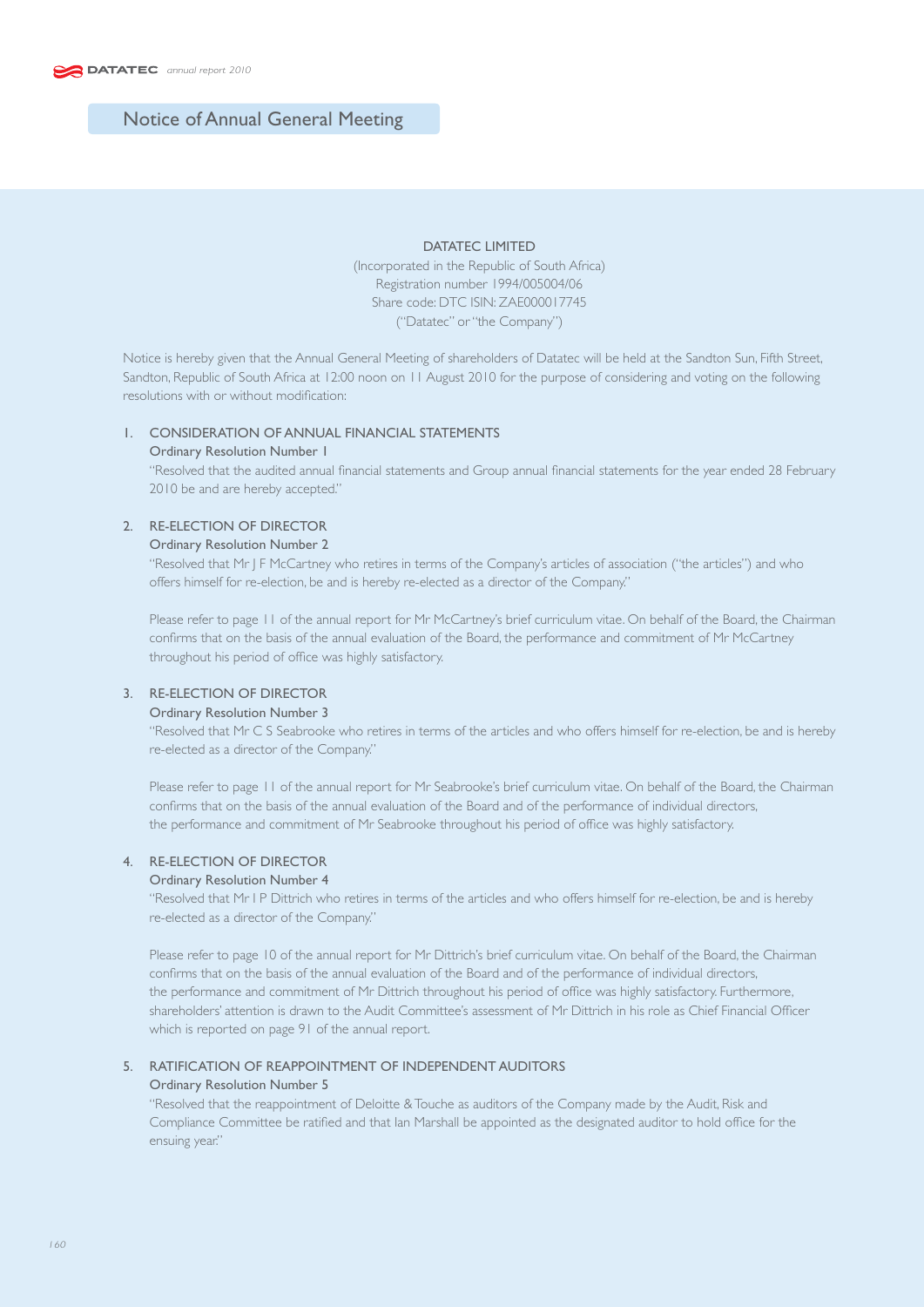# Notice of Annual General Meeting

### DATATEC LIMITED

(Incorporated in the Republic of South Africa) Registration number 1994/005004/06 Share code: DTC ISIN: ZAE000017745 ("Datatec" or "the Company")

Notice is hereby given that the Annual General Meeting of shareholders of Datatec will be held at the Sandton Sun, Fifth Street, Sandton, Republic of South Africa at 12:00 noon on 11 August 2010 for the purpose of considering and voting on the following resolutions with or without modification:

## 1. CONSIDERATION OF ANNUAL FINANCIAL STATEMENTS

#### Ordinary Resolution Number 1

 "Resolved that the audited annual financial statements and Group annual financial statements for the year ended 28 February 2010 be and are hereby accepted."

## 2. RE-ELECTION OF DIRECTOR

### Ordinary Resolution Number 2

 "Resolved that Mr J F McCartney who retires in terms of the Company's articles of association ("the articles") and who offers himself for re-election, be and is hereby re-elected as a director of the Company."

 Please refer to page 11 of the annual report for Mr McCartney's brief curriculum vitae. On behalf of the Board, the Chairman confirms that on the basis of the annual evaluation of the Board, the performance and commitment of Mr McCartney throughout his period of office was highly satisfactory.

## 3. RE-ELECTION OF DIRECTOR

## Ordinary Resolution Number 3

 "Resolved that Mr C S Seabrooke who retires in terms of the articles and who offers himself for re-election, be and is hereby re-elected as a director of the Company."

 Please refer to page 11 of the annual report for Mr Seabrooke's brief curriculum vitae. On behalf of the Board, the Chairman confirms that on the basis of the annual evaluation of the Board and of the performance of individual directors, the performance and commitment of Mr Seabrooke throughout his period of office was highly satisfactory.

## 4. RE-ELECTION OF DIRECTOR

### Ordinary Resolution Number 4

 "Resolved that Mr I P Dittrich who retires in terms of the articles and who offers himself for re-election, be and is hereby re-elected as a director of the Company."

 Please refer to page 10 of the annual report for Mr Dittrich's brief curriculum vitae. On behalf of the Board, the Chairman confirms that on the basis of the annual evaluation of the Board and of the performance of individual directors, the performance and commitment of Mr Dittrich throughout his period of office was highly satisfactory. Furthermore, shareholders' attention is drawn to the Audit Committee's assessment of Mr Dittrich in his role as Chief Financial Officer which is reported on page 91 of the annual report.

## 5. RATIFICATION OF REAPPOINTMENT OF INDEPENDENT AUDITORS

### Ordinary Resolution Number 5

 "Resolved that the reappointment of Deloitte & Touche as auditors of the Company made by the Audit, Risk and Compliance Committee be ratified and that Ian Marshall be appointed as the designated auditor to hold office for the ensuing year."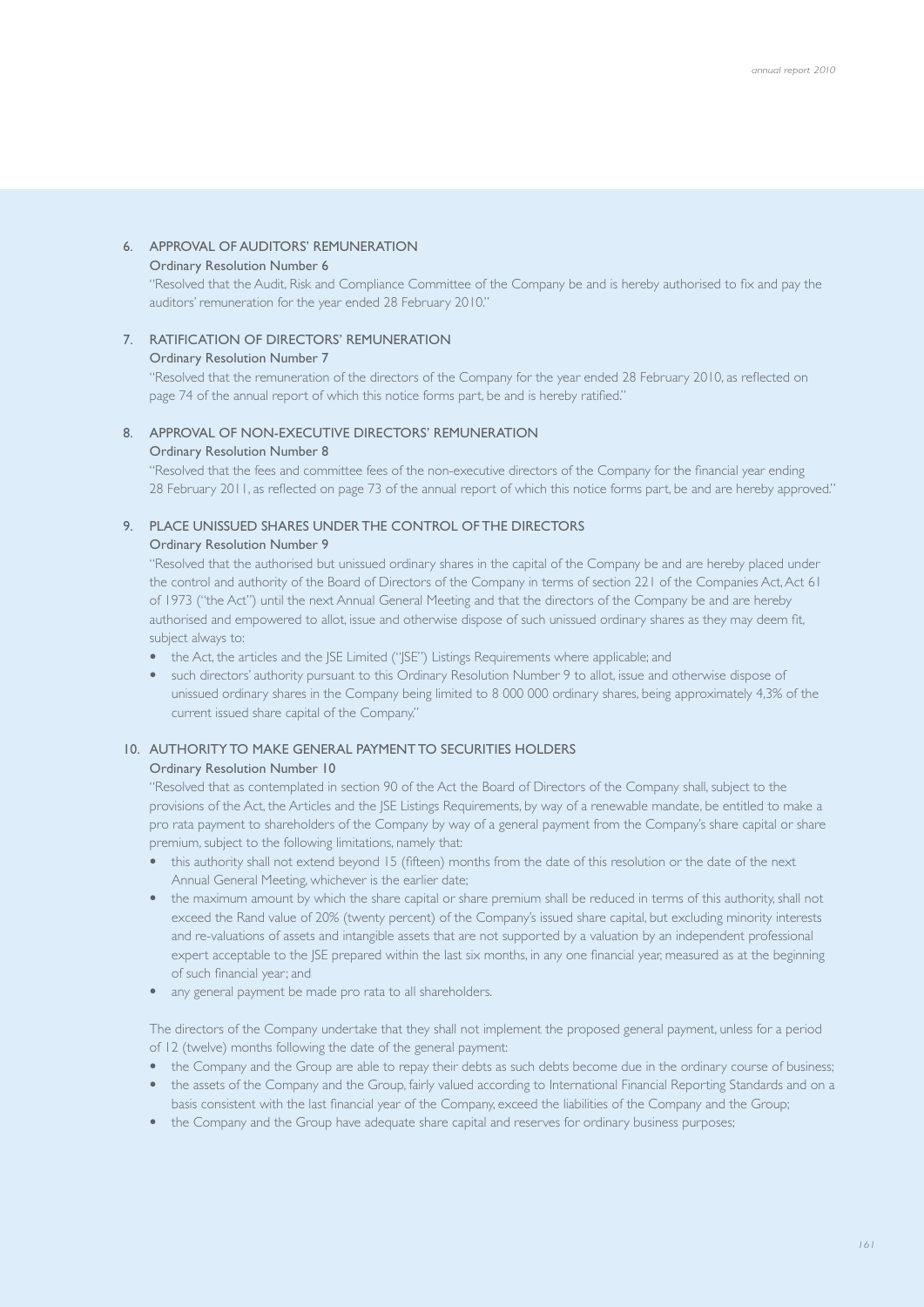## 6. APPROVAL OF AUDITORS' REMUNERATION

### Ordinary Resolution Number 6

 "Resolved that the Audit, Risk and Compliance Committee of the Company be and is hereby authorised to fix and pay the auditors' remuneration for the year ended 28 February 2010."

### 7. RATIFICATION OF DIRECTORS' REMUNERATION

#### Ordinary Resolution Number 7

 "Resolved that the remuneration of the directors of the Company for the year ended 28 February 2010, as reflected on page 74 of the annual report of which this notice forms part, be and is hereby ratified."

# 8. APPROVAL OF NON-EXECUTIVE DIRECTORS' REMUNERATION

### Ordinary Resolution Number 8

 "Resolved that the fees and committee fees of the non-executive directors of the Company for the financial year ending 28 February 2011, as reflected on page 73 of the annual report of which this notice forms part, be and are hereby approved."

# 9. PLACE UNISSUED SHARES UNDER THE CONTROL OF THE DIRECTORS

### Ordinary Resolution Number 9

 "Resolved that the authorised but unissued ordinary shares in the capital of the Company be and are hereby placed under the control and authority of the Board of Directors of the Company in terms of section 221 of the Companies Act, Act 61 of 1973 ("the Act") until the next Annual General Meeting and that the directors of the Company be and are hereby authorised and empowered to allot, issue and otherwise dispose of such unissued ordinary shares as they may deem fit, subject always to:

- the Act, the articles and the ISE Limited ("ISE") Listings Requirements where applicable; and
- such directors' authority pursuant to this Ordinary Resolution Number 9 to allot, issue and otherwise dispose of unissued ordinary shares in the Company being limited to 8 000 000 ordinary shares, being approximately 4,3% of the current issued share capital of the Company."

### 10. AUTHORITY TO MAKE GENERAL PAYMENT TO SECURITIES HOLDERS

## Ordinary Resolution Number 10

 "Resolved that as contemplated in section 90 of the Act the Board of Directors of the Company shall, subject to the provisions of the Act, the Articles and the JSE Listings Requirements, by way of a renewable mandate, be entitled to make a pro rata payment to shareholders of the Company by way of a general payment from the Company's share capital or share premium, subject to the following limitations, namely that:

- this authority shall not extend beyond 15 (fifteen) months from the date of this resolution or the date of the next Annual General Meeting, whichever is the earlier date;
- the maximum amount by which the share capital or share premium shall be reduced in terms of this authority, shall not exceed the Rand value of 20% (twenty percent) of the Company's issued share capital, but excluding minority interests and re-valuations of assets and intangible assets that are not supported by a valuation by an independent professional expert acceptable to the JSE prepared within the last six months, in any one financial year, measured as at the beginning of such financial year; and
- any general payment be made pro rata to all shareholders.

 The directors of the Company undertake that they shall not implement the proposed general payment, unless for a period of 12 (twelve) months following the date of the general payment:

- the Company and the Group are able to repay their debts as such debts become due in the ordinary course of business;
- the assets of the Company and the Group, fairly valued according to International Financial Reporting Standards and on a basis consistent with the last financial year of the Company, exceed the liabilities of the Company and the Group;
- the Company and the Group have adequate share capital and reserves for ordinary business purposes;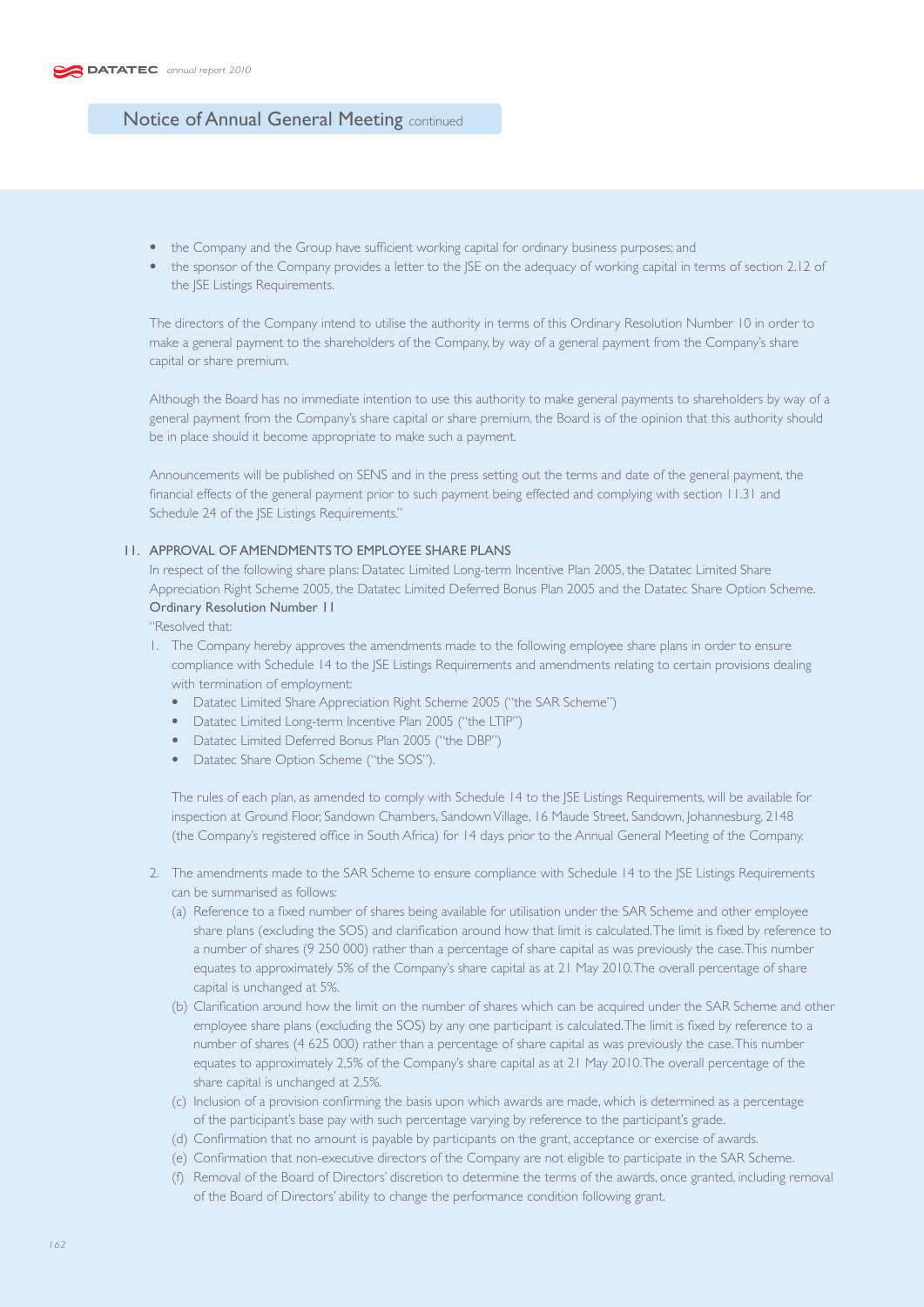- the Company and the Group have sufficient working capital for ordinary business purposes; and
- the sponsor of the Company provides a letter to the JSE on the adequacy of working capital in terms of section 2.12 of the JSE Listings Requirements.

 The directors of the Company intend to utilise the authority in terms of this Ordinary Resolution Number 10 in order to make a general payment to the shareholders of the Company, by way of a general payment from the Company's share capital or share premium.

 Although the Board has no immediate intention to use this authority to make general payments to shareholders by way of a general payment from the Company's share capital or share premium, the Board is of the opinion that this authority should be in place should it become appropriate to make such a payment.

 Announcements will be published on SENS and in the press setting out the terms and date of the general payment, the financial effects of the general payment prior to such payment being effected and complying with section 11.31 and Schedule 24 of the JSE Listings Requirements."

### 11. APPROVAL OF AMENDMENTS TO EMPLOYEE SHARE PLANS

In respect of the following share plans: Datatec Limited Long-term Incentive Plan 2005, the Datatec Limited Share Appreciation Right Scheme 2005, the Datatec Limited Deferred Bonus Plan 2005 and the Datatec Share Option Scheme. Ordinary Resolution Number 11

"Resolved that:

- 1. The Company hereby approves the amendments made to the following employee share plans in order to ensure compliance with Schedule 14 to the JSE Listings Requirements and amendments relating to certain provisions dealing with termination of employment:
	- Datatec Limited Share Appreciation Right Scheme 2005 ("the SAR Scheme")
	- Datatec Limited Long-term Incentive Plan 2005 ("the LTIP")
	- Datatec Limited Deferred Bonus Plan 2005 ("the DBP")
	- Datatec Share Option Scheme ("the SOS").

 The rules of each plan, as amended to comply with Schedule 14 to the JSE Listings Requirements, will be available for inspection at Ground Floor, Sandown Chambers, Sandown Village, 16 Maude Street, Sandown, Johannesburg, 2148 (the Company's registered office in South Africa) for 14 days prior to the Annual General Meeting of the Company.

- 2. The amendments made to the SAR Scheme to ensure compliance with Schedule 14 to the JSE Listings Requirements can be summarised as follows:
	- (a) Reference to a fixed number of shares being available for utilisation under the SAR Scheme and other employee share plans (excluding the SOS) and clarification around how that limit is calculated. The limit is fixed by reference to a number of shares (9 250 000) rather than a percentage of share capital as was previously the case. This number equates to approximately 5% of the Company's share capital as at 21 May 2010. The overall percentage of share capital is unchanged at 5%.
	- (b) Clarification around how the limit on the number of shares which can be acquired under the SAR Scheme and other employee share plans (excluding the SOS) by any one participant is calculated. The limit is fixed by reference to a number of shares (4 625 000) rather than a percentage of share capital as was previously the case. This number equates to approximately 2,5% of the Company's share capital as at 21 May 2010. The overall percentage of the share capital is unchanged at 2,5%.
	- (c) Inclusion of a provision confirming the basis upon which awards are made, which is determined as a percentage of the participant's base pay with such percentage varying by reference to the participant's grade.
	- (d) Confirmation that no amount is payable by participants on the grant, acceptance or exercise of awards.
	- (e) Confirmation that non-executive directors of the Company are not eligible to participate in the SAR Scheme.
	- (f) Removal of the Board of Directors' discretion to determine the terms of the awards, once granted, including removal of the Board of Directors' ability to change the performance condition following grant.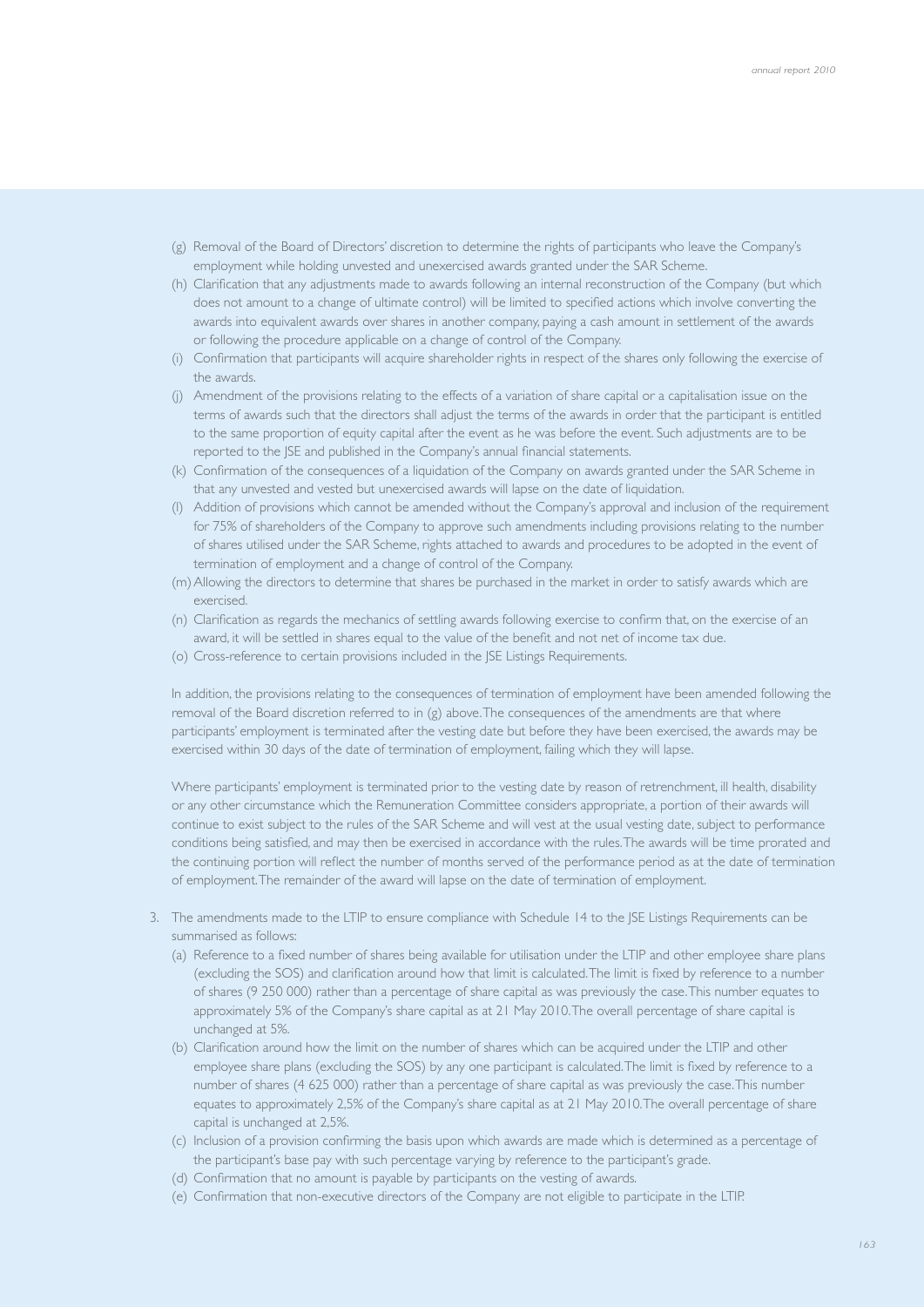- (g) Removal of the Board of Directors' discretion to determine the rights of participants who leave the Company's employment while holding unvested and unexercised awards granted under the SAR Scheme.
- (h) Clarification that any adjustments made to awards following an internal reconstruction of the Company (but which does not amount to a change of ultimate control) will be limited to specified actions which involve converting the awards into equivalent awards over shares in another company, paying a cash amount in settlement of the awards or following the procedure applicable on a change of control of the Company.
- (i) Confirmation that participants will acquire shareholder rights in respect of the shares only following the exercise of the awards.
- (j) Amendment of the provisions relating to the effects of a variation of share capital or a capitalisation issue on the terms of awards such that the directors shall adjust the terms of the awards in order that the participant is entitled to the same proportion of equity capital after the event as he was before the event. Such adjustments are to be reported to the JSE and published in the Company's annual financial statements.
- (k) Confirmation of the consequences of a liquidation of the Company on awards granted under the SAR Scheme in that any unvested and vested but unexercised awards will lapse on the date of liquidation.
- (l) Addition of provisions which cannot be amended without the Company's approval and inclusion of the requirement for 75% of shareholders of the Company to approve such amendments including provisions relating to the number of shares utilised under the SAR Scheme, rights attached to awards and procedures to be adopted in the event of termination of employment and a change of control of the Company.
- (m) Allowing the directors to determine that shares be purchased in the market in order to satisfy awards which are exercised.
- (n) Clarification as regards the mechanics of settling awards following exercise to confirm that, on the exercise of an award, it will be settled in shares equal to the value of the benefit and not net of income tax due.
- (o) Cross-reference to certain provisions included in the JSE Listings Requirements.

 In addition, the provisions relating to the consequences of termination of employment have been amended following the removal of the Board discretion referred to in (g) above. The consequences of the amendments are that where participants' employment is terminated after the vesting date but before they have been exercised, the awards may be exercised within 30 days of the date of termination of employment, failing which they will lapse.

 Where participants' employment is terminated prior to the vesting date by reason of retrenchment, ill health, disability or any other circumstance which the Remuneration Committee considers appropriate, a portion of their awards will continue to exist subject to the rules of the SAR Scheme and will vest at the usual vesting date, subject to performance conditions being satisfied, and may then be exercised in accordance with the rules. The awards will be time prorated and the continuing portion will reflect the number of months served of the performance period as at the date of termination of employment. The remainder of the award will lapse on the date of termination of employment.

- 3. The amendments made to the LTIP to ensure compliance with Schedule 14 to the JSE Listings Requirements can be summarised as follows:
	- (a) Reference to a fixed number of shares being available for utilisation under the LTIP and other employee share plans (excluding the SOS) and clarification around how that limit is calculated. The limit is fixed by reference to a number of shares (9 250 000) rather than a percentage of share capital as was previously the case. This number equates to approximately 5% of the Company's share capital as at 21 May 2010. The overall percentage of share capital is unchanged at 5%.
	- (b) Clarification around how the limit on the number of shares which can be acquired under the LTIP and other employee share plans (excluding the SOS) by any one participant is calculated. The limit is fixed by reference to a number of shares (4 625 000) rather than a percentage of share capital as was previously the case. This number equates to approximately 2,5% of the Company's share capital as at 21 May 2010. The overall percentage of share capital is unchanged at 2,5%.
	- (c) Inclusion of a provision confirming the basis upon which awards are made which is determined as a percentage of the participant's base pay with such percentage varying by reference to the participant's grade.
	- (d) Confirmation that no amount is payable by participants on the vesting of awards.
	- (e) Confirmation that non-executive directors of the Company are not eligible to participate in the LTIP.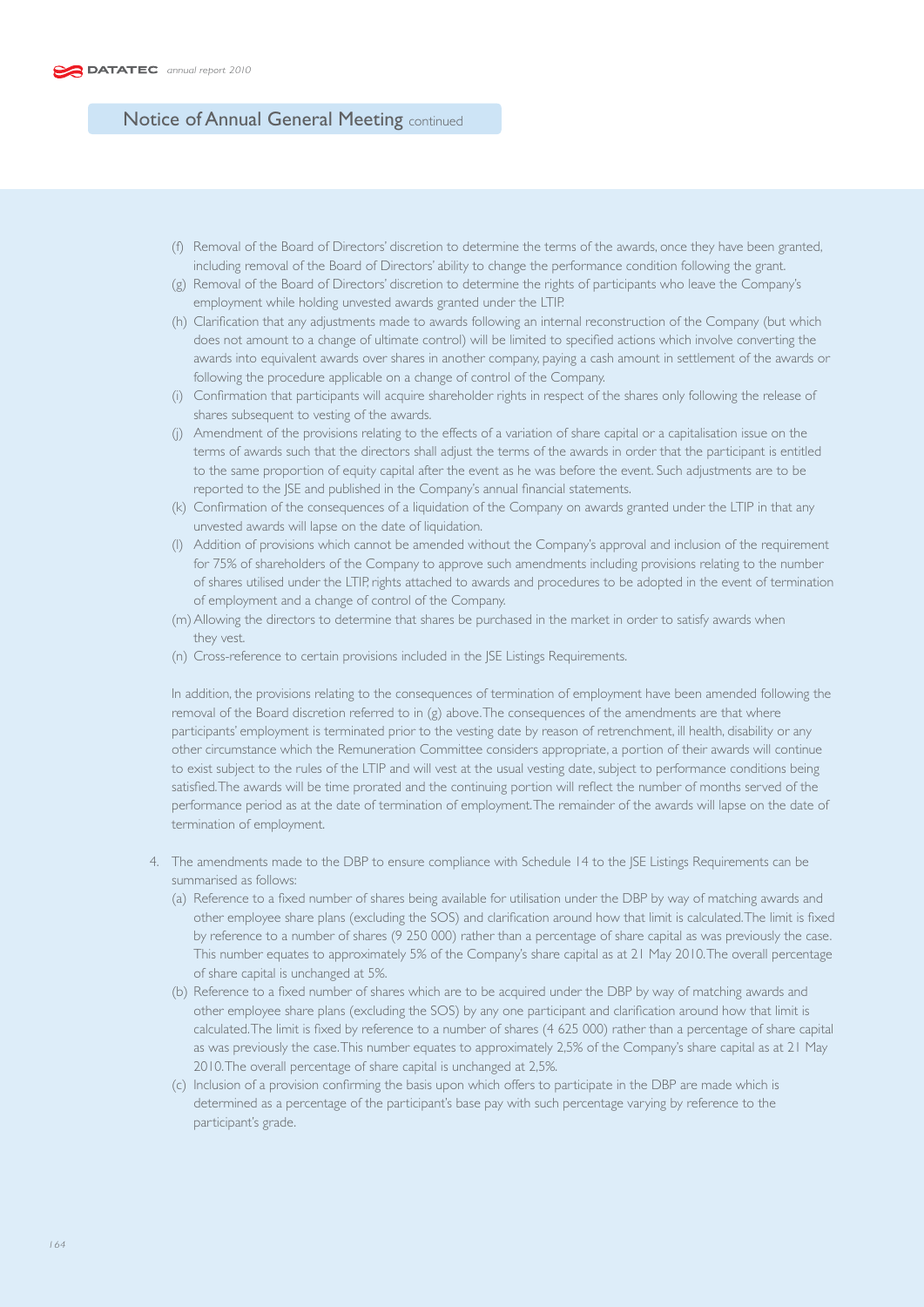- (f) Removal of the Board of Directors' discretion to determine the terms of the awards, once they have been granted, including removal of the Board of Directors' ability to change the performance condition following the grant.
- (g) Removal of the Board of Directors' discretion to determine the rights of participants who leave the Company's employment while holding unvested awards granted under the LTIP.
- (h) Clarification that any adjustments made to awards following an internal reconstruction of the Company (but which does not amount to a change of ultimate control) will be limited to specified actions which involve converting the awards into equivalent awards over shares in another company, paying a cash amount in settlement of the awards or following the procedure applicable on a change of control of the Company.
- (i) Confirmation that participants will acquire shareholder rights in respect of the shares only following the release of shares subsequent to vesting of the awards.
- (j) Amendment of the provisions relating to the effects of a variation of share capital or a capitalisation issue on the terms of awards such that the directors shall adjust the terms of the awards in order that the participant is entitled to the same proportion of equity capital after the event as he was before the event. Such adjustments are to be reported to the JSE and published in the Company's annual financial statements.
- (k) Confirmation of the consequences of a liquidation of the Company on awards granted under the LTIP in that any unvested awards will lapse on the date of liquidation.
- (l) Addition of provisions which cannot be amended without the Company's approval and inclusion of the requirement for 75% of shareholders of the Company to approve such amendments including provisions relating to the number of shares utilised under the LTIP, rights attached to awards and procedures to be adopted in the event of termination of employment and a change of control of the Company.
- (m) Allowing the directors to determine that shares be purchased in the market in order to satisfy awards when they vest.
- (n) Cross-reference to certain provisions included in the JSE Listings Requirements.

 In addition, the provisions relating to the consequences of termination of employment have been amended following the removal of the Board discretion referred to in (g) above. The consequences of the amendments are that where participants' employment is terminated prior to the vesting date by reason of retrenchment, ill health, disability or any other circumstance which the Remuneration Committee considers appropriate, a portion of their awards will continue to exist subject to the rules of the LTIP and will vest at the usual vesting date, subject to performance conditions being satisfied. The awards will be time prorated and the continuing portion will reflect the number of months served of the performance period as at the date of termination of employment. The remainder of the awards will lapse on the date of termination of employment.

- 4. The amendments made to the DBP to ensure compliance with Schedule 14 to the JSE Listings Requirements can be summarised as follows:
	- (a) Reference to a fixed number of shares being available for utilisation under the DBP by way of matching awards and other employee share plans (excluding the SOS) and clarification around how that limit is calculated. The limit is fixed by reference to a number of shares (9 250 000) rather than a percentage of share capital as was previously the case. This number equates to approximately 5% of the Company's share capital as at 21 May 2010. The overall percentage of share capital is unchanged at 5%.
	- (b) Reference to a fixed number of shares which are to be acquired under the DBP by way of matching awards and other employee share plans (excluding the SOS) by any one participant and clarification around how that limit is calculated. The limit is fixed by reference to a number of shares (4 625 000) rather than a percentage of share capital as was previously the case. This number equates to approximately 2,5% of the Company's share capital as at 21 May 2010. The overall percentage of share capital is unchanged at 2,5%.
	- (c) Inclusion of a provision confirming the basis upon which offers to participate in the DBP are made which is determined as a percentage of the participant's base pay with such percentage varying by reference to the participant's grade.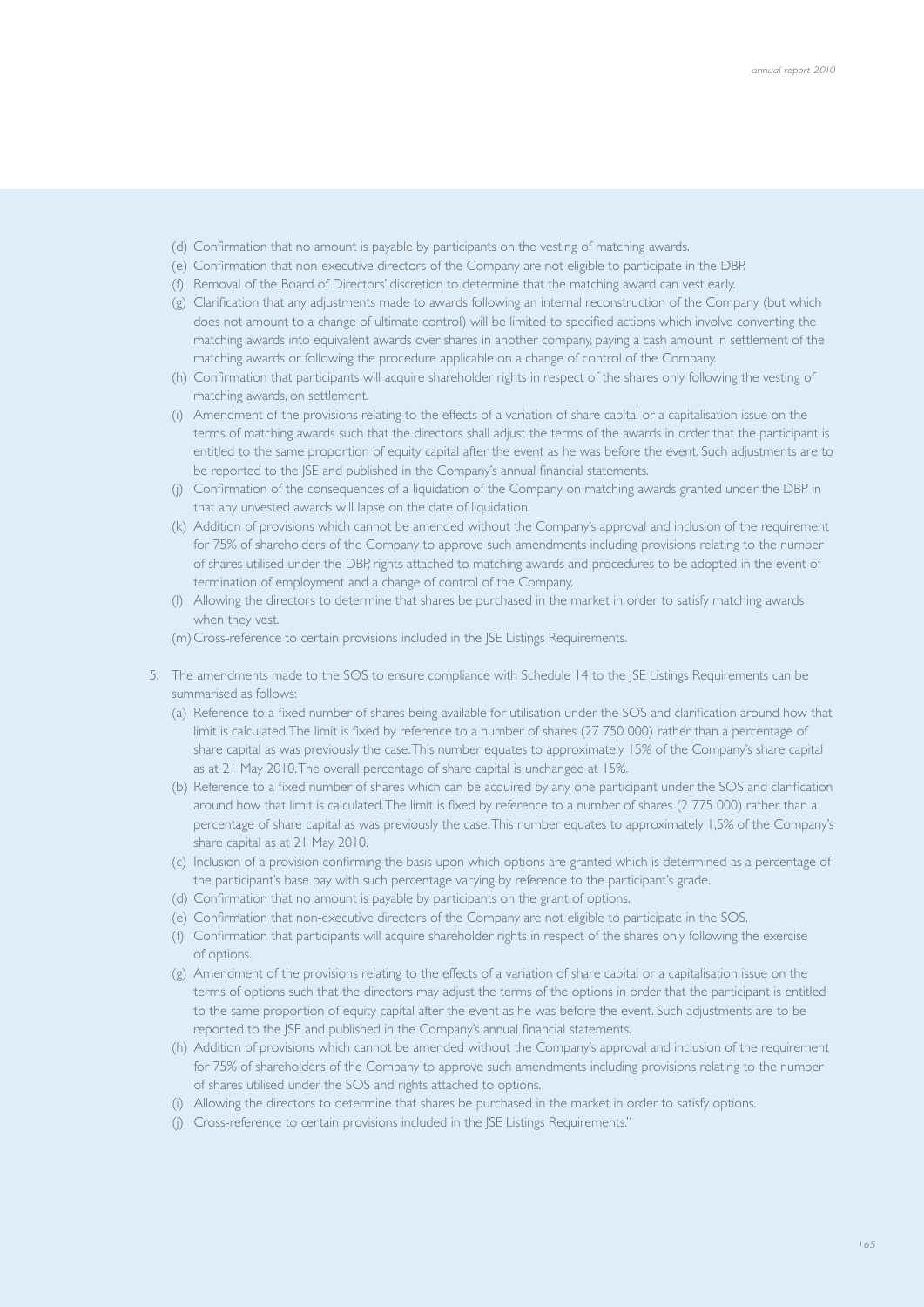- (d) Confirmation that no amount is payable by participants on the vesting of matching awards.
- (e) Confirmation that non-executive directors of the Company are not eligible to participate in the DBP.
- (f) Removal of the Board of Directors' discretion to determine that the matching award can vest early.
- (g) Clarification that any adjustments made to awards following an internal reconstruction of the Company (but which does not amount to a change of ultimate control) will be limited to specified actions which involve converting the matching awards into equivalent awards over shares in another company, paying a cash amount in settlement of the matching awards or following the procedure applicable on a change of control of the Company.
- (h) Confirmation that participants will acquire shareholder rights in respect of the shares only following the vesting of matching awards, on settlement.
- (i) Amendment of the provisions relating to the effects of a variation of share capital or a capitalisation issue on the terms of matching awards such that the directors shall adjust the terms of the awards in order that the participant is entitled to the same proportion of equity capital after the event as he was before the event. Such adjustments are to be reported to the JSE and published in the Company's annual financial statements.
- (j) Confirmation of the consequences of a liquidation of the Company on matching awards granted under the DBP in that any unvested awards will lapse on the date of liquidation.
- (k) Addition of provisions which cannot be amended without the Company's approval and inclusion of the requirement for 75% of shareholders of the Company to approve such amendments including provisions relating to the number of shares utilised under the DBP, rights attached to matching awards and procedures to be adopted in the event of termination of employment and a change of control of the Company.
- (l) Allowing the directors to determine that shares be purchased in the market in order to satisfy matching awards when they vest.
- (m) Cross-reference to certain provisions included in the JSE Listings Requirements.
- 5. The amendments made to the SOS to ensure compliance with Schedule 14 to the JSE Listings Requirements can be summarised as follows:
	- (a) Reference to a fixed number of shares being available for utilisation under the SOS and clarification around how that limit is calculated. The limit is fixed by reference to a number of shares (27 750 000) rather than a percentage of share capital as was previously the case. This number equates to approximately 15% of the Company's share capital as at 21 May 2010. The overall percentage of share capital is unchanged at 15%.
	- (b) Reference to a fixed number of shares which can be acquired by any one participant under the SOS and clarification around how that limit is calculated. The limit is fixed by reference to a number of shares (2 775 000) rather than a percentage of share capital as was previously the case. This number equates to approximately 1,5% of the Company's share capital as at 21 May 2010.
	- (c) Inclusion of a provision confirming the basis upon which options are granted which is determined as a percentage of the participant's base pay with such percentage varying by reference to the participant's grade.
	- (d) Confirmation that no amount is payable by participants on the grant of options.
	- (e) Confirmation that non-executive directors of the Company are not eligible to participate in the SOS.
	- (f) Confirmation that participants will acquire shareholder rights in respect of the shares only following the exercise of options.
	- (g) Amendment of the provisions relating to the effects of a variation of share capital or a capitalisation issue on the terms of options such that the directors may adjust the terms of the options in order that the participant is entitled to the same proportion of equity capital after the event as he was before the event. Such adjustments are to be reported to the JSE and published in the Company's annual financial statements.
	- (h) Addition of provisions which cannot be amended without the Company's approval and inclusion of the requirement for 75% of shareholders of the Company to approve such amendments including provisions relating to the number of shares utilised under the SOS and rights attached to options.
	- (i) Allowing the directors to determine that shares be purchased in the market in order to satisfy options.
	- (j) Cross-reference to certain provisions included in the JSE Listings Requirements."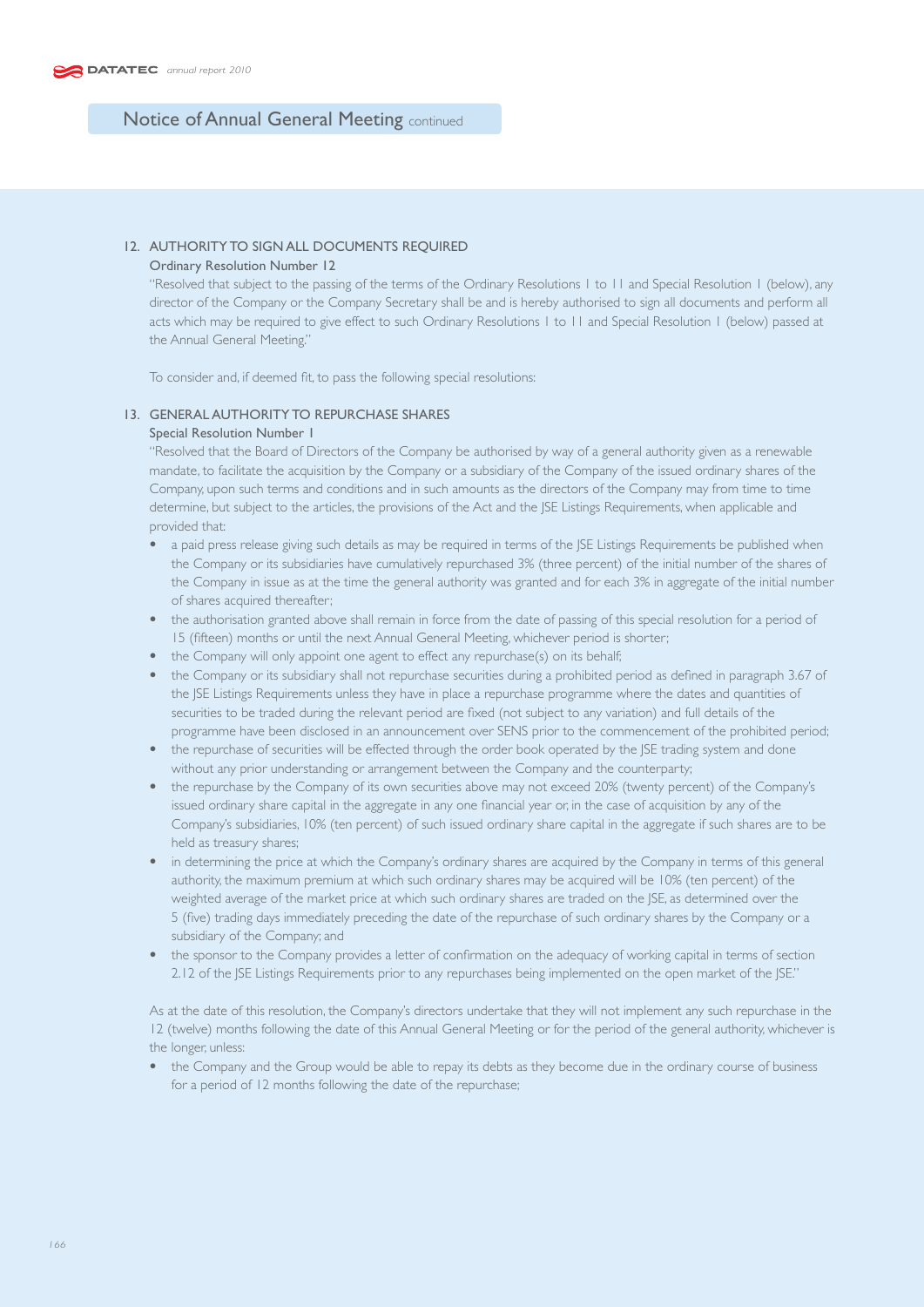# 12. AUTHORITY TO SIGN ALL DOCUMENTS REQUIRED

## Ordinary Resolution Number 12

 "Resolved that subject to the passing of the terms of the Ordinary Resolutions 1 to 11 and Special Resolution 1 (below), any director of the Company or the Company Secretary shall be and is hereby authorised to sign all documents and perform all acts which may be required to give effect to such Ordinary Resolutions 1 to 11 and Special Resolution 1 (below) passed at the Annual General Meeting."

To consider and, if deemed fit, to pass the following special resolutions:

### 13. GENERAL AUTHORITY TO REPURCHASE SHARES

## Special Resolution Number 1

 "Resolved that the Board of Directors of the Company be authorised by way of a general authority given as a renewable mandate, to facilitate the acquisition by the Company or a subsidiary of the Company of the issued ordinary shares of the Company, upon such terms and conditions and in such amounts as the directors of the Company may from time to time determine, but subject to the articles, the provisions of the Act and the JSE Listings Requirements, when applicable and provided that:

- a paid press release giving such details as may be required in terms of the JSE Listings Requirements be published when the Company or its subsidiaries have cumulatively repurchased 3% (three percent) of the initial number of the shares of the Company in issue as at the time the general authority was granted and for each 3% in aggregate of the initial number of shares acquired thereafter;
- the authorisation granted above shall remain in force from the date of passing of this special resolution for a period of 15 (fifteen) months or until the next Annual General Meeting, whichever period is shorter;
- the Company will only appoint one agent to effect any repurchase(s) on its behalf;
- the Company or its subsidiary shall not repurchase securities during a prohibited period as defined in paragraph 3.67 of the JSE Listings Requirements unless they have in place a repurchase programme where the dates and quantities of securities to be traded during the relevant period are fixed (not subject to any variation) and full details of the programme have been disclosed in an announcement over SENS prior to the commencement of the prohibited period;
- the repurchase of securities will be effected through the order book operated by the JSE trading system and done without any prior understanding or arrangement between the Company and the counterparty;
- the repurchase by the Company of its own securities above may not exceed 20% (twenty percent) of the Company's issued ordinary share capital in the aggregate in any one financial year or, in the case of acquisition by any of the Company's subsidiaries, 10% (ten percent) of such issued ordinary share capital in the aggregate if such shares are to be held as treasury shares;
- in determining the price at which the Company's ordinary shares are acquired by the Company in terms of this general authority, the maximum premium at which such ordinary shares may be acquired will be 10% (ten percent) of the weighted average of the market price at which such ordinary shares are traded on the JSE, as determined over the 5 (five) trading days immediately preceding the date of the repurchase of such ordinary shares by the Company or a subsidiary of the Company; and
- the sponsor to the Company provides a letter of confirmation on the adequacy of working capital in terms of section 2.12 of the JSE Listings Requirements prior to any repurchases being implemented on the open market of the JSE."

 As at the date of this resolution, the Company's directors undertake that they will not implement any such repurchase in the 12 (twelve) months following the date of this Annual General Meeting or for the period of the general authority, whichever is the longer, unless:

• the Company and the Group would be able to repay its debts as they become due in the ordinary course of business for a period of 12 months following the date of the repurchase;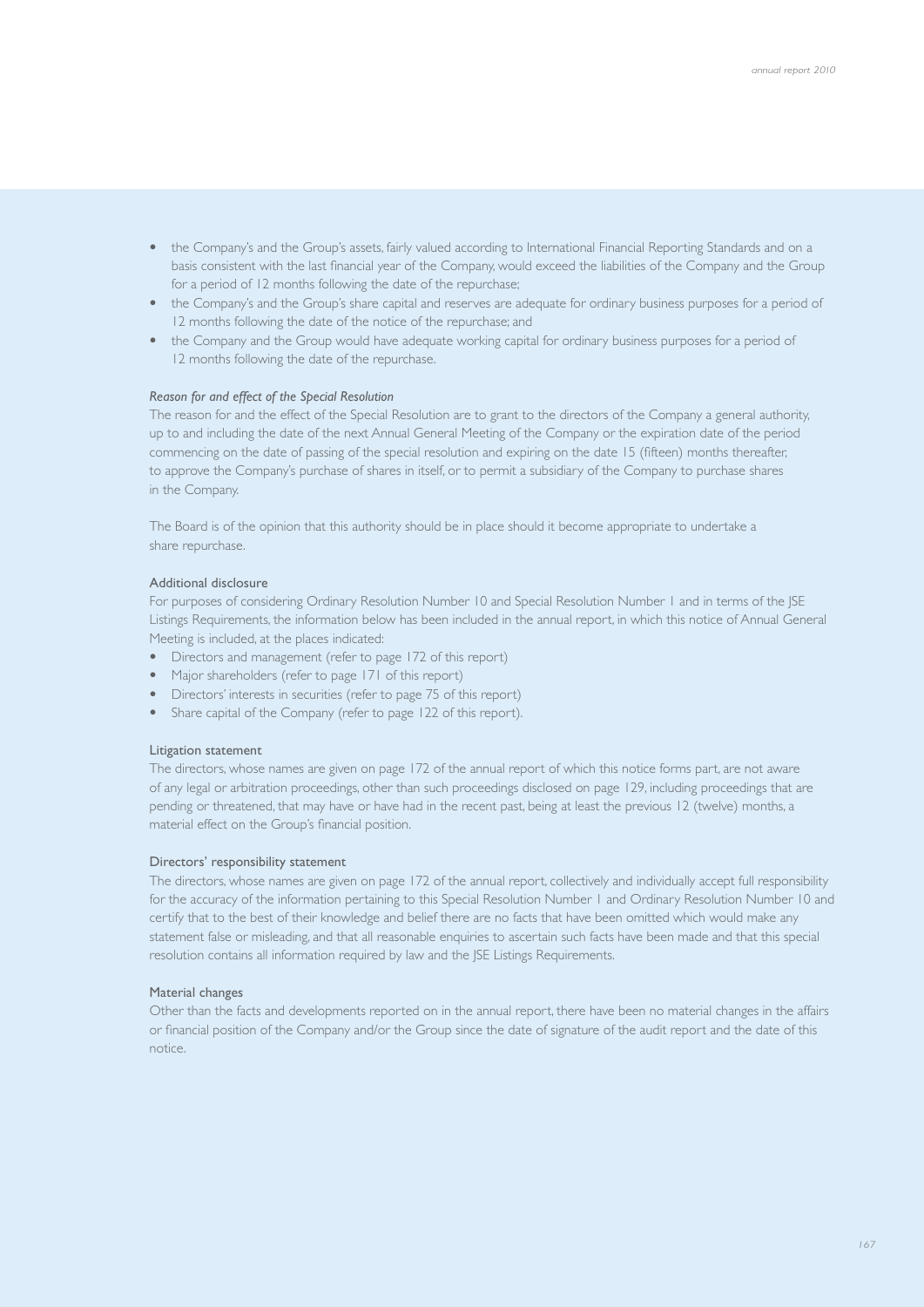- the Company's and the Group's assets, fairly valued according to International Financial Reporting Standards and on a basis consistent with the last financial year of the Company, would exceed the liabilities of the Company and the Group for a period of 12 months following the date of the repurchase;
- the Company's and the Group's share capital and reserves are adequate for ordinary business purposes for a period of 12 months following the date of the notice of the repurchase; and
- the Company and the Group would have adequate working capital for ordinary business purposes for a period of 12 months following the date of the repurchase.

#### *Reason for and effect of the Special Resolution*

 The reason for and the effect of the Special Resolution are to grant to the directors of the Company a general authority, up to and including the date of the next Annual General Meeting of the Company or the expiration date of the period commencing on the date of passing of the special resolution and expiring on the date 15 (fifteen) months thereafter, to approve the Company's purchase of shares in itself, or to permit a subsidiary of the Company to purchase shares in the Company.

 The Board is of the opinion that this authority should be in place should it become appropriate to undertake a share repurchase.

#### Additional disclosure

 For purposes of considering Ordinary Resolution Number 10 and Special Resolution Number 1 and in terms of the JSE Listings Requirements, the information below has been included in the annual report, in which this notice of Annual General Meeting is included, at the places indicated:

- Directors and management (refer to page 172 of this report)
- Major shareholders (refer to page 171 of this report)
- Directors' interests in securities (refer to page 75 of this report)
- Share capital of the Company (refer to page 122 of this report).

#### Litigation statement

 The directors, whose names are given on page 172 of the annual report of which this notice forms part, are not aware of any legal or arbitration proceedings, other than such proceedings disclosed on page 129, including proceedings that are pending or threatened, that may have or have had in the recent past, being at least the previous 12 (twelve) months, a material effect on the Group's financial position.

#### Directors' responsibility statement

 The directors, whose names are given on page 172 of the annual report, collectively and individually accept full responsibility for the accuracy of the information pertaining to this Special Resolution Number 1 and Ordinary Resolution Number 10 and certify that to the best of their knowledge and belief there are no facts that have been omitted which would make any statement false or misleading, and that all reasonable enquiries to ascertain such facts have been made and that this special resolution contains all information required by law and the JSE Listings Requirements.

#### Material changes

 Other than the facts and developments reported on in the annual report, there have been no material changes in the affairs or financial position of the Company and/or the Group since the date of signature of the audit report and the date of this notice.